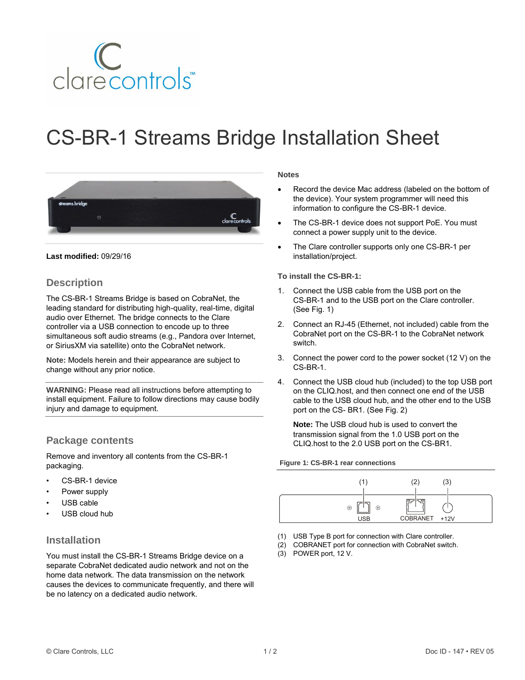

# CS-BR-1 Streams Bridge Installation Sheet



#### **Last modified:** 09/29/16

## **Description**

The CS-BR-1 Streams Bridge is based on CobraNet, the leading standard for distributing high-quality, real-time, digital audio over Ethernet. The bridge connects to the Clare controller via a USB connection to encode up to three simultaneous soft audio streams (e.g., Pandora over Internet, or SiriusXM via satellite) onto the CobraNet network.

**Note:** Models herein and their appearance are subject to change without any prior notice.

**WARNING:** Please read all instructions before attempting to install equipment. Failure to follow directions may cause bodily injury and damage to equipment.

## **Package contents**

Remove and inventory all contents from the CS-BR-1 packaging.

- CS-BR-1 device
- Power supply
- USB cable
- USB cloud hub

### **Installation**

You must install the CS-BR-1 Streams Bridge device on a separate CobraNet dedicated audio network and not on the home data network. The data transmission on the network causes the devices to communicate frequently, and there will be no latency on a dedicated audio network.

#### **Notes**

- Record the device Mac address (labeled on the bottom of the device). Your system programmer will need this information to configure the CS-BR-1 device.
- The CS-BR-1 device does not support PoE. You must connect a power supply unit to the device.
- The Clare controller supports only one CS-BR-1 per installation/project.

#### **To install the CS-BR-1:**

- 1. Connect the USB cable from the USB port on the CS-BR-1 and to the USB port on the Clare controller. (See Fig. 1)
- 2. Connect an RJ-45 (Ethernet, not included) cable from the CobraNet port on the CS-BR-1 to the CobraNet network switch.
- 3. Connect the power cord to the power socket (12 V) on the CS-BR-1.
- 4. Connect the USB cloud hub (included) to the top USB port on the CLIQ.host, and then connect one end of the USB cable to the USB cloud hub, and the other end to the USB port on the CS- BR1. (See Fig. 2)

**Note:** The USB cloud hub is used to convert the transmission signal from the 1.0 USB port on the CLIQ.host to the 2.0 USB port on the CS-BR1.

#### **Figure 1: CS-BR-1 rear connections**



- (1) USB Type B port for connection with Clare controller.
- (2) COBRANET port for connection with CobraNet switch.
- (3) POWER port, 12 V.